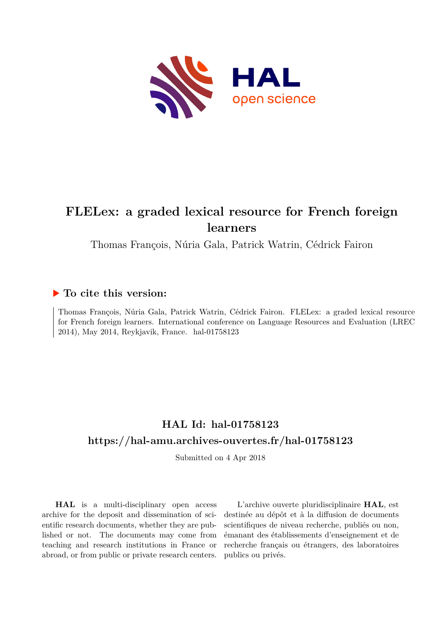

# **FLELex: a graded lexical resource for French foreign learners**

Thomas François, Núria Gala, Patrick Watrin, Cédrick Fairon

# **To cite this version:**

Thomas François, Núria Gala, Patrick Watrin, Cédrick Fairon. FLELex: a graded lexical resource for French foreign learners. International conference on Language Resources and Evaluation (LREC 2014), May 2014, Reykjavik, France. hal-01758123

# **HAL Id: hal-01758123 <https://hal-amu.archives-ouvertes.fr/hal-01758123>**

Submitted on 4 Apr 2018

**HAL** is a multi-disciplinary open access archive for the deposit and dissemination of scientific research documents, whether they are published or not. The documents may come from teaching and research institutions in France or abroad, or from public or private research centers.

L'archive ouverte pluridisciplinaire **HAL**, est destinée au dépôt et à la diffusion de documents scientifiques de niveau recherche, publiés ou non, émanant des établissements d'enseignement et de recherche français ou étrangers, des laboratoires publics ou privés.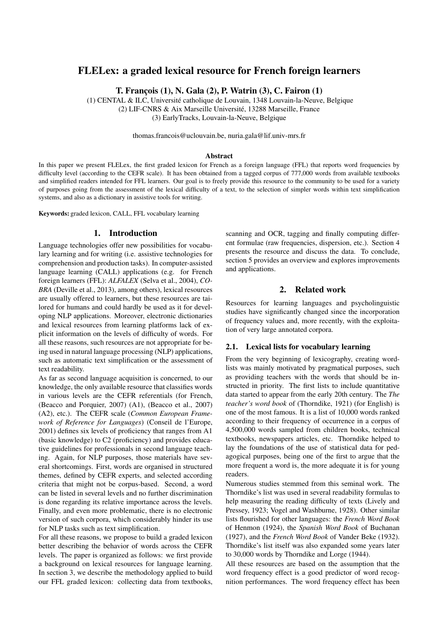# FLELex: a graded lexical resource for French foreign learners

T. Franc¸ois (1), N. Gala (2), P. Watrin (3), C. Fairon (1)

(1) CENTAL & ILC, Universite catholique de Louvain, 1348 Louvain-la-Neuve, Belgique ´ (2) LIF-CNRS & Aix Marseille Université, 13288 Marseille, France (3) EarlyTracks, Louvain-la-Neuve, Belgique

thomas.francois@uclouvain.be, nuria.gala@lif.univ-mrs.fr

#### Abstract

In this paper we present FLELex, the first graded lexicon for French as a foreign language (FFL) that reports word frequencies by difficulty level (according to the CEFR scale). It has been obtained from a tagged corpus of 777,000 words from available textbooks and simplified readers intended for FFL learners. Our goal is to freely provide this resource to the community to be used for a variety of purposes going from the assessment of the lexical difficulty of a text, to the selection of simpler words within text simplification systems, and also as a dictionary in assistive tools for writing.

Keywords: graded lexicon, CALL, FFL vocabulary learning

#### 1. Introduction

Language technologies offer new possibilities for vocabulary learning and for writing (i.e. assistive technologies for comprehension and production tasks). In computer-assisted language learning (CALL) applications (e.g. for French foreign learners (FFL): *ALFALEX* (Selva et al., 2004), *CO-BRA* (Deville et al., 2013), among others), lexical resources are usually offered to learners, but these resources are tailored for humans and could hardly be used as it for developing NLP applications. Moreover, electronic dictionaries and lexical resources from learning platforms lack of explicit information on the levels of difficulty of words. For all these reasons, such resources are not appropriate for being used in natural language processing (NLP) applications, such as automatic text simplification or the assessment of text readability.

As far as second language acquisition is concerned, to our knowledge, the only available resource that classifies words in various levels are the CEFR referentials (for French, (Beacco and Porquier, 2007) (A1), (Beacco et al., 2007) (A2), etc.). The CEFR scale (*Common European Framework of Reference for Languages*) (Conseil de l'Europe, 2001) defines six levels of proficiency that ranges from A1 (basic knowledge) to C2 (proficiency) and provides educative guidelines for professionals in second language teaching. Again, for NLP purposes, those materials have several shortcomings. First, words are organised in structured themes, defined by CEFR experts, and selected according criteria that might not be corpus-based. Second, a word can be listed in several levels and no further discrimination is done regarding its relative importance across the levels. Finally, and even more problematic, there is no electronic version of such corpora, which considerably hinder its use for NLP tasks such as text simplification.

For all these reasons, we propose to build a graded lexicon better describing the behavior of words across the CEFR levels. The paper is organized as follows: we first provide a background on lexical resources for language learning. In section 3, we describe the methodology applied to build our FFL graded lexicon: collecting data from textbooks,

scanning and OCR, tagging and finally computing different formulae (raw frequencies, dispersion, etc.). Section 4 presents the resource and discuss the data. To conclude, section 5 provides an overview and explores improvements and applications.

## 2. Related work

Resources for learning languages and psycholinguistic studies have significantly changed since the incorporation of frequency values and, more recently, with the exploitation of very large annotated corpora.

#### 2.1. Lexical lists for vocabulary learning

From the very beginning of lexicography, creating wordlists was mainly motivated by pragmatical purposes, such as providing teachers with the words that should be instructed in priority. The first lists to include quantitative data started to appear from the early 20th century. The *The teacher's word book* of (Thorndike, 1921) (for English) is one of the most famous. It is a list of 10,000 words ranked according to their frequency of occurrence in a corpus of 4,500,000 words sampled from children books, technical textbooks, newspapers articles, etc. Thorndike helped to lay the foundations of the use of statistical data for pedagogical purposes, being one of the first to argue that the more frequent a word is, the more adequate it is for young readers.

Numerous studies stemmed from this seminal work. The Thorndike's list was used in several readability formulas to help measuring the reading difficulty of texts (Lively and Pressey, 1923; Vogel and Washburne, 1928). Other similar lists flourished for other languages: the *French Word Book* of Henmon (1924), the *Spanish Word Book* of Buchanan (1927), and the *French Word Book* of Vander Beke (1932). Thorndike's list itself was also expanded some years later to 30,000 words by Thorndike and Lorge (1944).

All these resources are based on the assumption that the word frequency effect is a good predictor of word recognition performances. The word frequency effect has been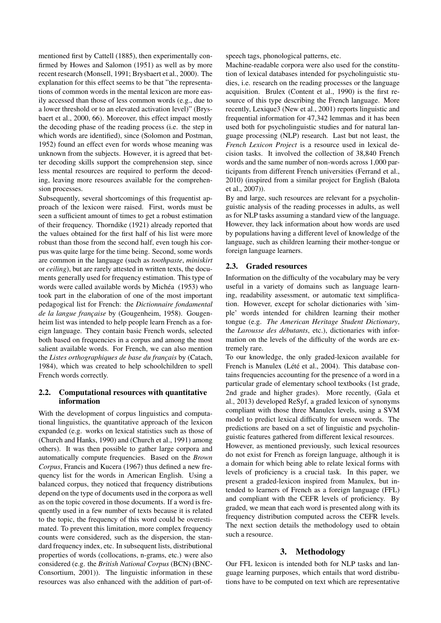mentioned first by Cattell (1885), then experimentally confirmed by Howes and Salomon (1951) as well as by more recent research (Monsell, 1991; Brysbaert et al., 2000). The explanation for this effect seems to be that "the representations of common words in the mental lexicon are more easily accessed than those of less common words (e.g., due to a lower threshold or to an elevated activation level)" (Brysbaert et al., 2000, 66). Moreover, this effect impact mostly the decoding phase of the reading process (i.e. the step in which words are identified), since (Solomon and Postman, 1952) found an effect even for words whose meaning was unknown from the subjects. However, it is agreed that better decoding skills support the comprehension step, since less mental resources are required to perform the decoding, leaving more resources available for the comprehension processes.

Subsequently, several shortcomings of this frequentist approach of the lexicon were raised. First, words must be seen a sufficient amount of times to get a robust estimation of their frequency. Thorndike (1921) already reported that the values obtained for the first half of his list were more robust than those from the second half, even tough his corpus was quite large for the time being. Second, some words are common in the language (such as *toothpaste*, *miniskirt* or *ceiling*), but are rarely attested in written texts, the documents generally used for frequency estimation. This type of words were called available words by Michéa (1953) who took part in the elaboration of one of the most important pedagogical list for French: the *Dictionnaire fondamental de la langue française* by (Gougenheim, 1958). Gougenheim list was intended to help people learn French as a foreign language. They contain basic French words, selected both based on frequencies in a corpus and among the most salient available words. For French, we can also mention the *Listes orthographiques de base du français* by (Catach, 1984), which was created to help schoolchildren to spell French words correctly.

#### 2.2. Computational resources with quantitative information

With the development of corpus linguistics and computational linguistics, the quantitative approach of the lexicon expanded (e.g. works on lexical statistics such as those of (Church and Hanks, 1990) and (Church et al., 1991) among others). It was then possible to gather large corpora and automatically compute frequencies. Based on the *Brown Corpus*, Francis and Kucera (1967) thus defined a new frequency list for the words in American English. Using a balanced corpus, they noticed that frequency distributions depend on the type of documents used in the corpora as well as on the topic covered in those documents. If a word is frequently used in a few number of texts because it is related to the topic, the frequency of this word could be overestimated. To prevent this limitation, more complex frequency counts were considered, such as the dispersion, the standard frequency index, etc. In subsequent lists, distributional properties of words (collocations, n-grams, etc.) were also considered (e.g. the *British National Corpus* (BCN) (BNC-Consortium, 2001)). The linguistic information in these resources was also enhanced with the addition of part-ofspeech tags, phonological patterns, etc.

Machine-readable corpora were also used for the constitution of lexical databases intended for psycholinguistic studies, i.e. research on the reading processes or the language acquisition. Brulex (Content et al., 1990) is the first resource of this type describing the French language. More recently, Lexique3 (New et al., 2001) reports linguistic and frequential information for 47,342 lemmas and it has been used both for psycholinguistic studies and for natural language processing (NLP) research. Last but not least, the *French Lexicon Project* is a resource used in lexical decision tasks. It involved the collection of 38,840 French words and the same number of non-words across 1,000 participants from different French universities (Ferrand et al., 2010) (inspired from a similar project for English (Balota et al., 2007)).

By and large, such resources are relevant for a psycholinguistic analysis of the reading processes in adults, as well as for NLP tasks assuming a standard view of the language. However, they lack information about how words are used by populations having a different level of knowledge of the language, such as children learning their mother-tongue or foreign language learners.

### 2.3. Graded resources

Information on the difficulty of the vocabulary may be very useful in a variety of domains such as language learning, readability assessment, or automatic text simplification. However, except for scholar dictionaries with 'simple' words intended for children learning their mother tongue (e.g. *The American Heritage Student Dictionary*, the *Larousse des débutants*, etc.), dictionaries with information on the levels of the difficulty of the words are extremely rare.

To our knowledge, the only graded-lexicon available for French is Manulex (Lété et al., 2004). This database contains frequencies accounting for the presence of a word in a particular grade of elementary school textbooks (1st grade, 2nd grade and higher grades). More recently, (Gala et al., 2013) developed ReSyf, a graded lexicon of synonyms compliant with those three Manulex levels, using a SVM model to predict lexical difficulty for unseen words. The predictions are based on a set of linguistic and psycholinguistic features gathered from different lexical resources.

However, as mentioned previously, such lexical resources do not exist for French as foreign language, although it is a domain for which being able to relate lexical forms with levels of proficiency is a crucial task. In this paper, we present a graded-lexicon inspired from Manulex, but intended to learners of French as a foreign language (FFL) and compliant with the CEFR levels of proficiency. By graded, we mean that each word is presented along with its frequency distribution computed across the CEFR levels. The next section details the methodology used to obtain such a resource.

## 3. Methodology

Our FFL lexicon is intended both for NLP tasks and language learning purposes, which entails that word distributions have to be computed on text which are representative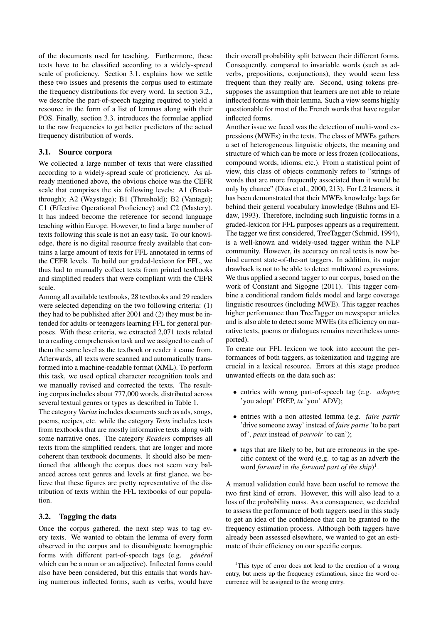of the documents used for teaching. Furthermore, these texts have to be classified according to a widely-spread scale of proficiency. Section 3.1. explains how we settle these two issues and presents the corpus used to estimate the frequency distributions for every word. In section 3.2., we describe the part-of-speech tagging required to yield a resource in the form of a list of lemmas along with their POS. Finally, section 3.3. introduces the formulae applied to the raw frequencies to get better predictors of the actual frequency distribution of words.

#### 3.1. Source corpora

We collected a large number of texts that were classified according to a widely-spread scale of proficiency. As already mentioned above, the obvious choice was the CEFR scale that comprises the six following levels: A1 (Breakthrough); A2 (Waystage); B1 (Threshold); B2 (Vantage); C1 (Effective Operational Proficiency) and C2 (Mastery). It has indeed become the reference for second language teaching within Europe. However, to find a large number of texts following this scale is not an easy task. To our knowledge, there is no digital resource freely available that contains a large amount of texts for FFL annotated in terms of the CEFR levels. To build our graded-lexicon for FFL, we thus had to manually collect texts from printed textbooks and simplified readers that were compliant with the CEFR scale.

Among all available textbooks, 28 textbooks and 29 readers were selected depending on the two following criteria: (1) they had to be published after 2001 and (2) they must be intended for adults or teenagers learning FFL for general purposes. With these criteria, we extracted 2,071 texts related to a reading comprehension task and we assigned to each of them the same level as the textbook or reader it came from. Afterwards, all texts were scanned and automatically transformed into a machine-readable format (XML). To perform this task, we used optical character recognition tools and we manually revised and corrected the texts. The resulting corpus includes about 777,000 words, distributed across several textual genres or types as described in Table 1.

The category *Varias* includes documents such as ads, songs, poems, recipes, etc. while the category *Texts* includes texts from textbooks that are mostly informative texts along with some narrative ones. The category *Readers* comprises all texts from the simplified readers, that are longer and more coherent than textbook documents. It should also be mentioned that although the corpus does not seem very balanced across text genres and levels at first glance, we believe that these figures are pretty representative of the distribution of texts within the FFL textbooks of our population.

#### 3.2. Tagging the data

Once the corpus gathered, the next step was to tag every texts. We wanted to obtain the lemma of every form observed in the corpus and to disambiguate homographic forms with different part-of-speech tags (e.g. *général* which can be a noun or an adjective). Inflected forms could also have been considered, but this entails that words having numerous inflected forms, such as verbs, would have their overall probability split between their different forms. Consequently, compared to invariable words (such as adverbs, prepositions, conjunctions), they would seem less frequent than they really are. Second, using tokens presupposes the assumption that learners are not able to relate inflected forms with their lemma. Such a view seems highly questionable for most of the French words that have regular inflected forms.

Another issue we faced was the detection of multi-word expressions (MWEs) in the texts. The class of MWEs gathers a set of heterogeneous linguistic objects, the meaning and structure of which can be more or less frozen (collocations, compound words, idioms, etc.). From a statistical point of view, this class of objects commonly refers to "strings of words that are more frequently associated than it would be only by chance" (Dias et al., 2000, 213). For L2 learners, it has been demonstrated that their MWEs knowledge lags far behind their general vocabulary knowledge (Bahns and Eldaw, 1993). Therefore, including such linguistic forms in a graded-lexicon for FFL purposes appears as a requirement. The tagger we first considered, TreeTagger (Schmid, 1994), is a well-known and widely-used tagger within the NLP community. However, its accuracy on real texts is now behind current state-of-the-art taggers. In addition, its major drawback is not to be able to detect multiword expressions. We thus applied a second tagger to our corpus, based on the work of Constant and Sigogne (2011). This tagger combine a conditional random fields model and large coverage linguistic resources (including MWE). This tagger reaches higher performance than TreeTagger on newspaper articles and is also able to detect some MWEs (its efficiency on narrative texts, poems or dialogues remains nevertheless unreported).

To create our FFL lexicon we took into account the performances of both taggers, as tokenization and tagging are crucial in a lexical resource. Errors at this stage produce unwanted effects on the data such as:

- entries with wrong part-of-speech tag (e.g. *adoptez* 'you adopt' PREP, *tu* 'you' ADV);
- entries with a non attested lemma (e.g. *faire partir* 'drive someone away' instead of *faire partie* 'to be part of', *peux* instead of *pouvoir* 'to can');
- tags that are likely to be, but are erroneous in the specific context of the word (e.g. to tag as an adverb the word *forward* in *the forward part of the ship*) 1 .

A manual validation could have been useful to remove the two first kind of errors. However, this will also lead to a loss of the probability mass. As a consequence, we decided to assess the performance of both taggers used in this study to get an idea of the confidence that can be granted to the frequency estimation process. Although both taggers have already been assessed elsewhere, we wanted to get an estimate of their efficiency on our specific corpus.

<sup>&</sup>lt;sup>1</sup>This type of error does not lead to the creation of a wrong entry, but mess up the frequency estimations, since the word occurrence will be assigned to the wrong entry.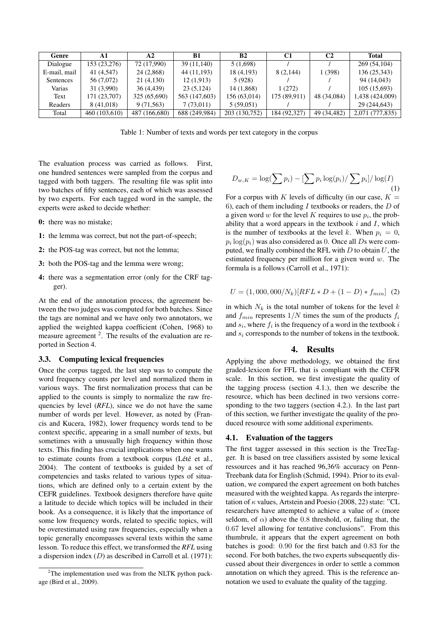| Genre        |               | A2            | B1            | B <sub>2</sub> | C <sub>1</sub> | C2          | <b>Total</b>    |  |
|--------------|---------------|---------------|---------------|----------------|----------------|-------------|-----------------|--|
| Dialogue     | 153 (23,276)  | 72 (17,990)   | 39 (11,140)   | 5(1,698)       |                |             | 269 (54,104)    |  |
| E-mail, mail | 41 (4,547)    | 24 (2,868)    | 44 (11,193)   | 18 (4,193)     | 8 (2,144)      | 1 (398)     | 136 (25,343)    |  |
| Sentences    | 56 (7,072)    | 21 (4,130)    | 12(1,913)     | 5 (928)        |                |             | 94 (14,043)     |  |
| Varias       | 31 (3,990)    | 36 (4,439)    | 23(5,124)     | 14 (1,868)     | 1(272)         |             | 105(15,693)     |  |
| Text         | 171 (23,707)  | 325 (65,690)  | 563 (147,603) | 156 (63,014)   | 175 (89,911)   | 48 (34,084) | 1,438 (424,009) |  |
| Readers      | 8 (41,018)    | 9 (71,563)    | 7(73,011)     | 5(59,051)      |                |             | 29 (244,643)    |  |
| Total        | 460 (103,610) | 487 (166,680) | 688 (249,984) | 203 (130,752)  | 184 (92,327)   | 49 (34,482) | 2,071 (777,835) |  |

Table 1: Number of texts and words per text category in the corpus

The evaluation process was carried as follows. First, one hundred sentences were sampled from the corpus and tagged with both taggers. The resulting file was split into two batches of fifty sentences, each of which was assessed by two experts. For each tagged word in the sample, the experts were asked to decide whether:

- 0: there was no mistake;
- 1: the lemma was correct, but not the part-of-speech;
- 2: the POS-tag was correct, but not the lemma;
- 3: both the POS-tag and the lemma were wrong;
- 4: there was a segmentation error (only for the CRF tagger).

At the end of the annotation process, the agreement between the two judges was computed for both batches. Since the tags are nominal and we have only two annotators, we applied the weighted kappa coefficient (Cohen, 1968) to measure agreement  $2$ . The results of the evaluation are reported in Section 4.

#### 3.3. Computing lexical frequencies

Once the corpus tagged, the last step was to compute the word frequency counts per level and normalized them in various ways. The first normalization process that can be applied to the counts is simply to normalize the raw frequencies by level (*RFL*), since we do not have the same number of words per level. However, as noted by (Francis and Kucera, 1982), lower frequency words tend to be context specific, appearing in a small number of texts, but sometimes with a unusually high frequency within those texts. This finding has crucial implications when one wants to estimate counts from a textbook corpus (Lété et al., 2004). The content of textbooks is guided by a set of competencies and tasks related to various types of situations, which are defined only to a certain extent by the CEFR guidelines. Textbook designers therefore have quite a latitude to decide which topics will be included in their book. As a consequence, it is likely that the importance of some low frequency words, related to specific topics, will be overestimated using raw frequencies, especially when a topic generally encompasses several texts within the same lesson. To reduce this effect, we transformed the *RFL* using a dispersion index  $(D)$  as described in Carroll et al. (1971):

$$
D_{w,K} = \log(\sum p_i) - [\sum p_i \log(p_i) / \sum p_i] / \log(I)
$$
\n(1)

For a corpus with K levels of difficulty (in our case,  $K =$ 6), each of them including  $I$  textbooks or readers, the  $D$  of a given word  $w$  for the level  $K$  requires to use  $p_i$ , the probability that a word appears in the textbook  $i$  and  $I$ , which is the number of textbooks at the level k. When  $p_i = 0$ ,  $p_i \log(p_i)$  was also considered as 0. Once all Ds were computed, we finally combined the RFL with  $D$  to obtain  $U$ , the estimated frequency per million for a given word  $w$ . The formula is a follows (Carroll et al., 1971):

$$
U = (1,000,000/N_k)[RFL*D + (1-D)*f_{min}] (2)
$$

in which  $N_k$  is the total number of tokens for the level k and  $f_{min}$  represents  $1/N$  times the sum of the products  $f_i$ and  $s_i$ , where  $f_i$  is the frequency of a word in the textbook i and  $s_i$  corresponds to the number of tokens in the textbook.

#### 4. Results

Applying the above methodology, we obtained the first graded-lexicon for FFL that is compliant with the CEFR scale. In this section, we first investigate the quality of the tagging process (section 4.1.), then we describe the resource, which has been declined in two versions corresponding to the two taggers (section 4.2.). In the last part of this section, we further investigate the quality of the produced resource with some additional experiments.

#### 4.1. Evaluation of the taggers

The first tagger assessed in this section is the TreeTagger. It is based on tree classifiers assisted by some lexical ressources and it has reached 96,36% accuracy on Penn-Treebank data for English (Schmid, 1994). Prior to its evaluation, we compared the expert agreement on both batches measured with the weighted kappa. As regards the interpretation of  $\kappa$  values, Artstein and Poesio (2008, 22) state: "CL researchers have attempted to achieve a value of  $\kappa$  (more seldom, of  $\alpha$ ) above the 0.8 threshold, or, failing that, the 0.67 level allowing for tentative conclusions". From this thumbrule, it appears that the expert agreement on both batches is good: 0.90 for the first batch and 0.83 for the second. For both batches, the two experts subsequently discussed about their divergences in order to settle a common annotation on which they agreed. This is the reference annotation we used to evaluate the quality of the tagging.

 $2$ The implementation used was from the NLTK python package (Bird et al., 2009).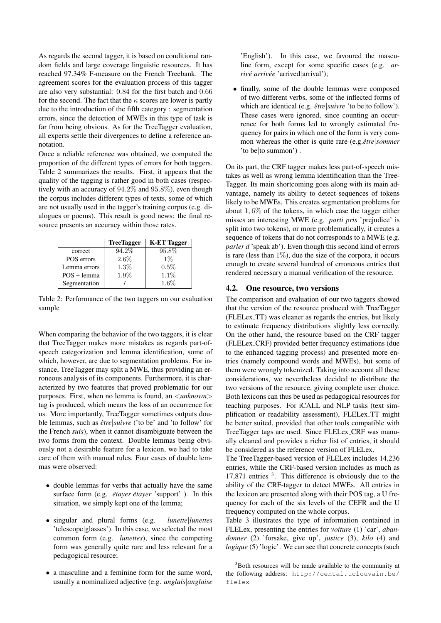As regards the second tagger, it is based on conditional random fields and large coverage linguistic resources. It has reached 97.34% F-measure on the French Treebank. The agreement scores for the evaluation process of this tagger are also very substantial: 0.84 for the first batch and 0.66 for the second. The fact that the  $\kappa$  scores are lower is partly due to the introduction of the fifth category : segmentation errors, since the detection of MWEs in this type of task is far from being obvious. As for the TreeTagger evaluation, all experts settle their divergences to define a reference annotation.

Once a reliable reference was obtained, we computed the proportion of the different types of errors for both taggers. Table 2 summarizes the results. First, it appears that the quality of the tagging is rather good in both cases (respectively with an accuracy of 94.2% and 95.8%), even though the corpus includes different types of texts, some of which are not usually used in the tagger's training corpus (e.g. dialogues or poems). This result is good news: the final resource presents an accuracy within those rates.

|               | <b>TreeTagger</b> | <b>K-ET Tagger</b> |  |  |  |
|---------------|-------------------|--------------------|--|--|--|
| correct       | 94.2%             | 95.8%              |  |  |  |
| POS errors    | $2.6\%$           | $1\%$              |  |  |  |
| Lemma errors  | $1.3\%$           | 0.5%               |  |  |  |
| $POS + lemma$ | 1.9%              | $1.1\%$            |  |  |  |
| Segmentation  |                   | 1.6%               |  |  |  |

Table 2: Performance of the two taggers on our evaluation sample

When comparing the behavior of the two taggers, it is clear that TreeTagger makes more mistakes as regards part-ofspeech categorization and lemma identification, some of which, however, are due to segmentation problems. For instance, TreeTagger may split a MWE, thus providing an erroneous analysis of its components. Furthermore, it is characterized by two features that proved problematic for our purposes. First, when no lemma is found, an <*unknown*> tag is produced, which means the loss of an occurrence for us. More importantly, TreeTagger sometimes outputs double lemmas, such as  $\hat{e}$ *tre suivre* ('to be' and 'to follow' for the French *suis*), when it cannot disambiguate between the two forms from the context. Double lemmas being obviously not a desirable feature for a lexicon, we had to take care of them with manual rules. Four cases of double lemmas were observed:

- double lemmas for verbs that actually have the same surface form (e.g. *étayer <i>étayer* 'support' ). In this situation, we simply kept one of the lemma;
- singular and plural forms (e.g. *lunette*|*lunettes* 'telescope|glasses'). In this case, we selected the most common form (e.g. *lunettes*), since the competing form was generally quite rare and less relevant for a pedagogical resource;
- a masculine and a feminine form for the same word, usually a nominalized adjective (e.g. *anglais*|*anglaise*

'English'). In this case, we favoured the masculine form, except for some specific cases (e.g. *arrive´*|*arrivee´* 'arrived|arrival');

• finally, some of the double lemmas were composed of two different verbs, some of the inflected forms of which are identical (e.g.  $\hat{e}$ *tre suivre* 'to be to follow'). These cases were ignored, since counting an occurrence for both forms led to wrongly estimated frequency for pairs in which one of the form is very common whereas the other is quite rare (e.g. être | sommer 'to be|to summon') .

On its part, the CRF tagger makes less part-of-speech mistakes as well as wrong lemma identification than the Tree-Tagger. Its main shortcoming goes along with its main advantage, namely its ability to detect sequences of tokens likely to be MWEs. This creates segmentation problems for about  $1,6\%$  of the tokens, in which case the tagger either misses an interesting MWE (e.g. *parti pris* 'prejudice' is split into two tokens), or more problematically, it creates a sequence of tokens that do not corresponds to a MWE (e.g. *parler d* 'speak ab'). Even though this second kind of errors is rare (less than  $1\%$ ), due the size of the corpora, it occurs enough to create several hundred of erroneous entries that rendered necessary a manual verification of the resource.

#### 4.2. One resource, two versions

The comparison and evaluation of our two taggers showed that the version of the resource produced with TreeTagger (FLELex TT) was cleaner as regards the entries, but likely to estimate frequency distributions slightly less correctly. On the other hand, the resource based on the CRF tagger (FLELex CRF) provided better frequency estimations (due to the enhanced tagging process) and presented more entries (namely compound words and MWEs), but some of them were wrongly tokenized. Taking into account all these considerations, we nevertheless decided to distribute the two versions of the resource, giving complete user choice. Both lexicons can thus be used as pedagogical resources for teaching purposes. For iCALL and NLP tasks (text simplification or readability assessment), FLELex TT might be better suited, provided that other tools compatible with TreeTagger tags are used. Since FLELex CRF was manually cleaned and provides a richer list of entries, it should be considered as the reference version of FLELex.

The TreeTagger-based version of FLELex includes 14,236 entries, while the CRF-based version includes as much as 17,871 entries <sup>3</sup> . This difference is obviously due to the ability of the CRF-tagger to detect MWEs. All entries in the lexicon are presented along with their POS tag, a U frequency for each of the six levels of the CEFR and the U frequency computed on the whole corpus.

Table 3 illustrates the type of information contained in FLELex, presenting the entries for *voiture* (1) 'car', *abandonner* (2) 'forsake, give up', *justice* (3), *kilo* (4) and *logique* (5) 'logic'. We can see that concrete concepts (such

<sup>&</sup>lt;sup>3</sup>Both resources will be made available to the community at the following address: http://cental.uclouvain.be/ flelex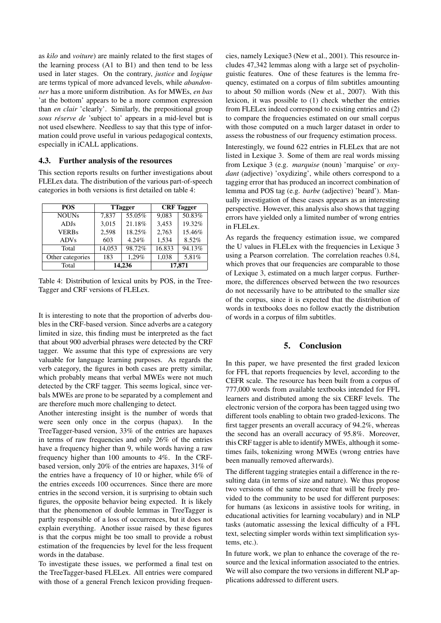as *kilo* and *voiture*) are mainly related to the first stages of the learning process (A1 to B1) and then tend to be less used in later stages. On the contrary, *justice* and *logique* are terms typical of more advanced levels, while *abandonner* has a more uniform distribution. As for MWEs, *en bas* 'at the bottom' appears to be a more common expression than *en clair* 'clearly'. Similarly, the prepositional group *sous reserve de ´* 'subject to' appears in a mid-level but is not used elsewhere. Needless to say that this type of information could prove useful in various pedagogical contexts, especially in iCALL applications.

#### 4.3. Further analysis of the resources

This section reports results on further investigations about FLELex data. The distribution of the various part-of-speech categories in both versions is first detailed on table 4:

| <b>POS</b>       |        | <b>T</b> Tagger | <b>CRF</b> Tagger |        |  |  |
|------------------|--------|-----------------|-------------------|--------|--|--|
| <b>NOUNs</b>     | 7.837  | 55.05%          | 9.083             | 50.83% |  |  |
| <b>ADJs</b>      | 3,015  | 21.18%          | 3,453             | 19.32% |  |  |
| <b>VERBs</b>     | 2,598  | 18.25%          | 2,763             | 15.46% |  |  |
| <b>ADVs</b>      | 603    | 4.24%           | 1,534             | 8.52%  |  |  |
| Total            | 14,053 | 98.72%          | 16.833            | 94.13% |  |  |
| Other categories | 183    | 1.29%           | 1,038             | 5,81%  |  |  |
| Total            | 14,236 |                 | 17,871            |        |  |  |

Table 4: Distribution of lexical units by POS, in the Tree-Tagger and CRF versions of FLELex.

It is interesting to note that the proportion of adverbs doubles in the CRF-based version. Since adverbs are a category limited in size, this finding must be interpreted as the fact that about 900 adverbial phrases were detected by the CRF tagger. We assume that this type of expressions are very valuable for language learning purposes. As regards the verb category, the figures in both cases are pretty similar, which probably means that verbal MWEs were not much detected by the CRF tagger. This seems logical, since verbals MWEs are prone to be separated by a complement and are therefore much more challenging to detect.

Another interesting insight is the number of words that were seen only once in the corpus (hapax). In the TreeTagger-based version, 33% of the entries are hapaxes in terms of raw frequencies and only 26% of the entries have a frequency higher than 9, while words having a raw frequency higher than 100 amounts to 4%. In the CRFbased version, only 20% of the entries are hapaxes, 31% of the entries have a frequency of 10 or higher, while 6% of the entries exceeds 100 occurrences. Since there are more entries in the second version, it is surprising to obtain such figures, the opposite behavior being expected. It is likely that the phenomenon of double lemmas in TreeTagger is partly responsible of a loss of occurrences, but it does not explain everything. Another issue raised by these figures is that the corpus might be too small to provide a robust estimation of the frequencies by level for the less frequent words in the database.

To investigate these issues, we performed a final test on the TreeTagger-based FLELex. All entries were compared with those of a general French lexicon providing frequencies, namely Lexique3 (New et al., 2001). This resource includes 47,342 lemmas along with a large set of psycholinguistic features. One of these features is the lemma frequency, estimated on a corpus of film subtitles amounting to about 50 million words (New et al., 2007). With this lexicon, it was possible to (1) check whether the entries from FLELex indeed correspond to existing entries and (2) to compare the frequencies estimated on our small corpus with those computed on a much larger dataset in order to assess the robustness of our frequency estimation process.

Interestingly, we found 622 entries in FLELex that are not listed in Lexique 3. Some of them are real words missing from Lexique 3 (e.g. *marquise* (noun) 'marquise' or *oxydant* (adjective) 'oxydizing', while others correspond to a tagging error that has produced an incorrect combination of lemma and POS tag (e.g. *barbe* (adjective) 'beard'). Manually investigation of these cases appears as an interesting perspective. However, this analysis also shows that tagging errors have yielded only a limited number of wrong entries in FLELex.

As regards the frequency estimation issue, we compared the U values in FLELex with the frequencies in Lexique 3 using a Pearson correlation. The correlation reaches 0.84, which proves that our frequencies are comparable to those of Lexique 3, estimated on a much larger corpus. Furthermore, the differences observed between the two resources do not necessarily have to be attributed to the smaller size of the corpus, since it is expected that the distribution of words in textbooks does no follow exactly the distribution of words in a corpus of film subtitles.

#### 5. Conclusion

In this paper, we have presented the first graded lexicon for FFL that reports frequencies by level, according to the CEFR scale. The resource has been built from a corpus of 777,000 words from available textbooks intended for FFL learners and distributed among the six CERF levels. The electronic version of the corpora has been tagged using two different tools enabling to obtain two graded-lexicons. The first tagger presents an overall accuracy of 94.2%, whereas the second has an overall accuracy of 95.8%. Moreover, this CRF tagger is able to identify MWEs, although it sometimes fails, tokenizing wrong MWEs (wrong entries have been manually removed afterwards).

The different tagging strategies entail a difference in the resulting data (in terms of size and nature). We thus propose two versions of the same resource that will be freely provided to the community to be used for different purposes: for humans (as lexicons in assistive tools for writing, in educational activities for learning vocabulary) and in NLP tasks (automatic assessing the lexical difficulty of a FFL text, selecting simpler words within text simplification systems, etc.).

In future work, we plan to enhance the coverage of the resource and the lexical information associated to the entries. We will also compare the two versions in different NLP applications addressed to different users.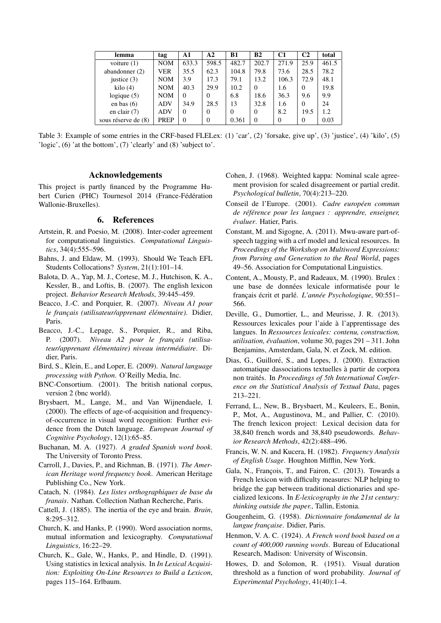| lemma                 | tag         | A1       | A2             | B1       | B <sub>2</sub> | C <sub>1</sub> | C2       | total |
|-----------------------|-------------|----------|----------------|----------|----------------|----------------|----------|-------|
| voiture $(1)$         | <b>NOM</b>  | 633.3    | 598.5          | 482.7    | 202.7          | 271.9          | 25.9     | 461.5 |
| abandonner $(2)$      | VER         | 35.5     | 62.3           | 104.8    | 79.8           | 73.6           | 28.5     | 78.2  |
| justice $(3)$         | <b>NOM</b>  | 3.9      | 17.3           | 79.1     | 13.2           | 106.3          | 72.9     | 48.1  |
| $\mathrm{kilo}(4)$    | <b>NOM</b>  | 40.3     | 29.9           | 10.2     | $\Omega$       | 1.6            | 0        | 19.8  |
| logique $(5)$         | <b>NOM</b>  | $\Omega$ | $\overline{0}$ | 6.8      | 18.6           | 36.3           | 9.6      | 9.9   |
| en bas $(6)$          | <b>ADV</b>  | 34.9     | 28.5           | 13       | 32.8           | 1.6            | $\Omega$ | 24    |
| en clair $(7)$        | <b>ADV</b>  | 0        | $\overline{0}$ | $\Omega$ | $\Omega$       | 8.2            | 19.5     | 1.2   |
| sous réserve de $(8)$ | <b>PREP</b> | $\theta$ | $\overline{0}$ | 0.361    | $\Omega$       | $\Omega$       | $\Omega$ | 0.03  |

Table 3: Example of some entries in the CRF-based FLELex: (1) 'car', (2) 'forsake, give up', (3) 'justice', (4) 'kilo', (5) 'logic', (6) 'at the bottom', (7) 'clearly' and (8) 'subject to'.

#### Acknowledgements

This project is partly financed by the Programme Hubert Curien (PHC) Tournesol 2014 (France-Fédération Wallonie-Bruxelles).

#### 6. References

- Artstein, R. and Poesio, M. (2008). Inter-coder agreement for computational linguistics. *Computational Linguistics*, 34(4):555–596.
- Bahns, J. and Eldaw, M. (1993). Should We Teach EFL Students Collocations? *System*, 21(1):101–14.
- Balota, D. A., Yap, M. J., Cortese, M. J., Hutchison, K. A., Kessler, B., and Loftis, B. (2007). The english lexicon project. *Behavior Research Methods*, 39:445–459.
- Beacco, J.-C. and Porquier, R. (2007). *Niveau A1 pour le franc¸ais (utilisateur/apprenant el´ ementaire) ´* . Didier, Paris.
- Beacco, J.-C., Lepage, S., Porquier, R., and Riba, P. (2007). *Niveau A2 pour le français (utilisateur/apprenant el´ ementaire) niveau interm ´ ediaire ´* . Didier, Paris.
- Bird, S., Klein, E., and Loper, E. (2009). *Natural language processing with Python*. O'Reilly Media, Inc.
- BNC-Consortium. (2001). The british national corpus, version 2 (bnc world).
- Brysbaert, M., Lange, M., and Van Wijnendaele, I. (2000). The effects of age-of-acquisition and frequencyof-occurrence in visual word recognition: Further evidence from the Dutch language. *European Journal of Cognitive Psychology*, 12(1):65–85.
- Buchanan, M. A. (1927). *A graded Spanish word book*. The University of Toronto Press.
- Carroll, J., Davies, P., and Richman, B. (1971). *The American Heritage word frequency book*. American Heritage Publishing Co., New York.
- Catach, N. (1984). *Les listes orthographiques de base du franais*. Nathan. Collection Nathan Recherche, Paris.
- Cattell, J. (1885). The inertia of the eye and brain. *Brain*, 8:295–312.
- Church, K. and Hanks, P. (1990). Word association norms, mutual information and lexicography. *Computational Linguistics*, 16:22–29.
- Church, K., Gale, W., Hanks, P., and Hindle, D. (1991). Using statistics in lexical analysis. In *In Lexical Acquisition: Exploiting On-Line Resources to Build a Lexicon*, pages 115–164. Erlbaum.
- Cohen, J. (1968). Weighted kappa: Nominal scale agreement provision for scaled disagreement or partial credit. *Psychological bulletin*, 70(4):213–220.
- Conseil de l'Europe. (2001). Cadre européen commun *de référence pour les langues : apprendre, enseigner,*  $évaluer$ . Hatier, Paris.
- Constant, M. and Sigogne, A. (2011). Mwu-aware part-ofspeech tagging with a crf model and lexical resources. In *Proceedings of the Workshop on Multiword Expressions: from Parsing and Generation to the Real World*, pages 49–56. Association for Computational Linguistics.
- Content, A., Mousty, P., and Radeaux, M. (1990). Brulex : une base de données lexicale informatisée pour le français écrit et parlé. L'année Psychologique, 90:551– 566.
- Deville, G., Dumortier, L., and Meurisse, J. R. (2013). Ressources lexicales pour l'aide a l'apprentissage des ` langues. In *Ressources lexicales: contenu, construction, utilisation, évaluation, volume 30, pages 291 – 311. John* Benjamins, Amsterdam, Gala, N. et Zock, M. edition.
- Dias, G., Guilloré, S., and Lopes, J. (2000). Extraction automatique dassociations textuelles a partir de corpora ` non traités. In *Proceedings of 5th International Conference on the Statistical Analysis of Textual Data*, pages 213–221.
- Ferrand, L., New, B., Brysbaert, M., Keuleers, E., Bonin, P., Mot, A., Augustinova, M., and Pallier, C. (2010). The french lexicon project: Lexical decision data for 38,840 french words and 38,840 pseudowords. *Behavior Research Methods*, 42(2):488–496.
- Francis, W. N. and Kucera, H. (1982). *Frequency Analysis of English Usage*. Houghton Mifflin, New York.
- Gala, N., François, T., and Fairon, C. (2013). Towards a French lexicon with difficulty measures: NLP helping to bridge the gap between traditional dictionaries and specialized lexicons. In *E-lexicography in the 21st century: thinking outside the paper.*, Tallin, Estonia.
- Gougenheim, G. (1958). *Dictionnaire fondamental de la langue franc¸aise*. Didier, Paris.
- Henmon, V. A. C. (1924). *A French word book based on a count of 400,000 running words*. Bureau of Educational Research, Madison: University of Wisconsin.
- Howes, D. and Solomon, R. (1951). Visual duration threshold as a function of word probability. *Journal of Experimental Psychology*, 41(40):1–4.